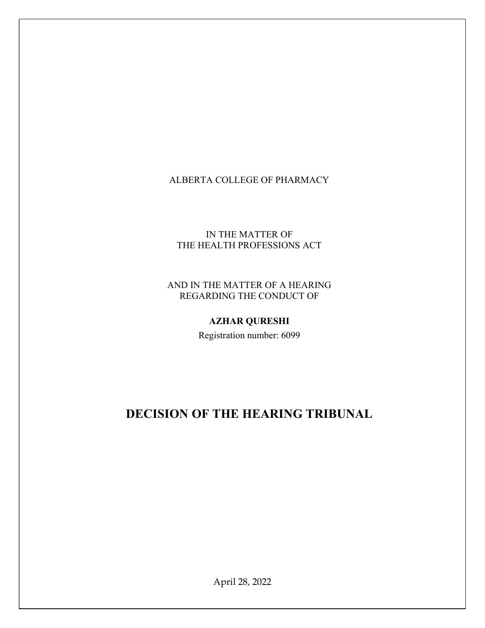## ALBERTA COLLEGE OF PHARMACY

#### IN THE MATTER OF THE HEALTH PROFESSIONS ACT

## AND IN THE MATTER OF A HEARING REGARDING THE CONDUCT OF

## AZHAR QURESHI

Registration number: 6099

# DECISION OF THE HEARING TRIBUNAL

April 28, 2022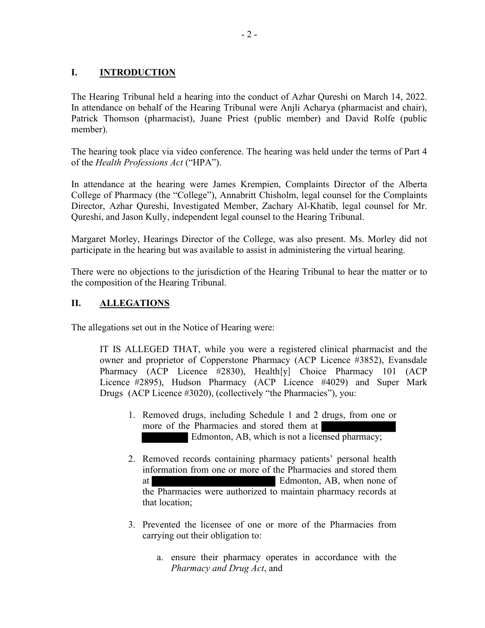## I. INTRODUCTION

The Hearing Tribunal held a hearing into the conduct of Azhar Qureshi on March 14, 2022. In attendance on behalf of the Hearing Tribunal were Anjli Acharya (pharmacist and chair), Patrick Thomson (pharmacist), Juane Priest (public member) and David Rolfe (public member).

The hearing took place via video conference. The hearing was held under the terms of Part 4 of the Health Professions Act ("HPA").

In attendance at the hearing were James Krempien, Complaints Director of the Alberta College of Pharmacy (the "College"), Annabritt Chisholm, legal counsel for the Complaints Director, Azhar Qureshi, Investigated Member, Zachary Al-Khatib, legal counsel for Mr. Qureshi, and Jason Kully, independent legal counsel to the Hearing Tribunal.

Margaret Morley, Hearings Director of the College, was also present. Ms. Morley did not participate in the hearing but was available to assist in administering the virtual hearing.

There were no objections to the jurisdiction of the Hearing Tribunal to hear the matter or to the composition of the Hearing Tribunal.

### II. ALLEGATIONS

The allegations set out in the Notice of Hearing were:

IT IS ALLEGED THAT, while you were a registered clinical pharmacist and the owner and proprietor of Copperstone Pharmacy (ACP Licence #3852), Evansdale Pharmacy (ACP Licence #2830), Health[y] Choice Pharmacy 101 (ACP Licence #2895), Hudson Pharmacy (ACP Licence #4029) and Super Mark Drugs (ACP Licence #3020), (collectively "the Pharmacies"), you:

- 1. Removed drugs, including Schedule 1 and 2 drugs, from one or more of the Pharmacies and stored them at Edmonton, AB, which is not a licensed pharmacy;
- 2. Removed records containing pharmacy patients' personal health information from one or more of the Pharmacies and stored them at Edmonton, AB, when none of the Pharmacies were authorized to maintain pharmacy records at that location;
- 3. Prevented the licensee of one or more of the Pharmacies from carrying out their obligation to:
	- a. ensure their pharmacy operates in accordance with the Pharmacy and Drug Act, and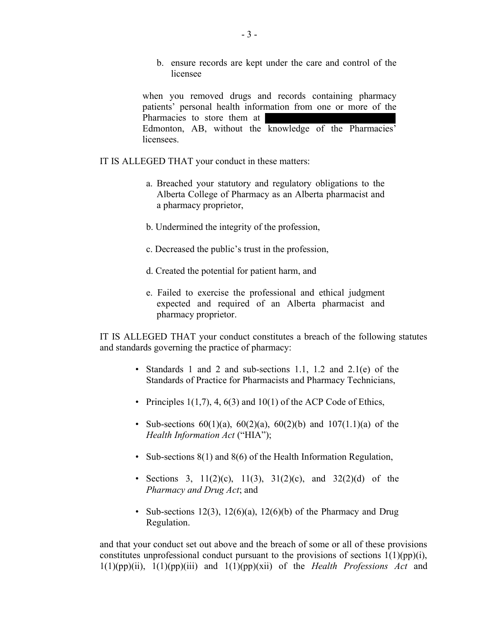b. ensure records are kept under the care and control of the licensee

when you removed drugs and records containing pharmacy patients' personal health information from one or more of the Pharmacies to store them at Edmonton, AB, without the knowledge of the Pharmacies' licensees.

IT IS ALLEGED THAT your conduct in these matters:

- a. Breached your statutory and regulatory obligations to the Alberta College of Pharmacy as an Alberta pharmacist and a pharmacy proprietor,
- b. Undermined the integrity of the profession,
- c. Decreased the public's trust in the profession,
- d. Created the potential for patient harm, and
- e. Failed to exercise the professional and ethical judgment expected and required of an Alberta pharmacist and pharmacy proprietor.

IT IS ALLEGED THAT your conduct constitutes a breach of the following statutes and standards governing the practice of pharmacy:

- Standards 1 and 2 and sub-sections 1.1, 1.2 and 2.1(e) of the Standards of Practice for Pharmacists and Pharmacy Technicians,
- Principles  $1(1,7)$ , 4, 6(3) and  $10(1)$  of the ACP Code of Ethics,
- Sub-sections  $60(1)(a)$ ,  $60(2)(a)$ ,  $60(2)(b)$  and  $107(1.1)(a)$  of the Health Information Act ("HIA");
- Sub-sections 8(1) and 8(6) of the Health Information Regulation,
- Sections 3,  $11(2)(c)$ ,  $11(3)$ ,  $31(2)(c)$ , and  $32(2)(d)$  of the Pharmacy and Drug Act; and
- Sub-sections 12(3), 12(6)(a), 12(6)(b) of the Pharmacy and Drug Regulation.

and that your conduct set out above and the breach of some or all of these provisions constitutes unprofessional conduct pursuant to the provisions of sections  $1(1)(pp)(i)$ ,  $1(1)(pp)(ii)$ ,  $1(1)(pp)(iii)$  and  $1(1)(pp)(xii)$  of the *Health Professions Act* and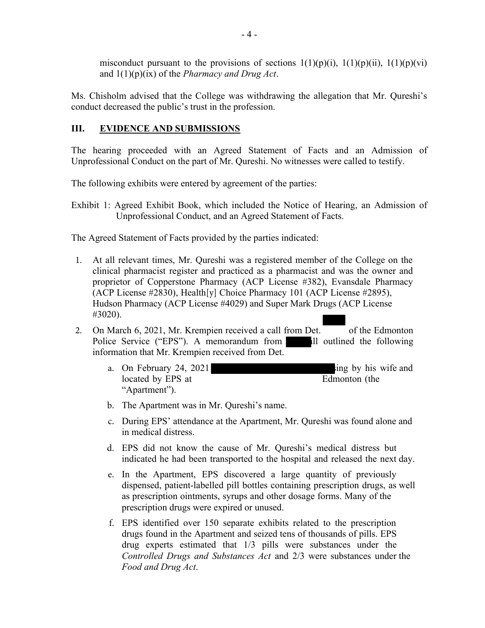misconduct pursuant to the provisions of sections  $1(1)(p)(i)$ ,  $1(1)(p)(ii)$ ,  $1(1)(p)(vi)$ and  $1(1)(p)(ix)$  of the *Pharmacy and Drug Act*.

Ms. Chisholm advised that the College was withdrawing the allegation that Mr. Qureshi's conduct decreased the public's trust in the profession.

#### III. EVIDENCE AND SUBMISSIONS

The hearing proceeded with an Agreed Statement of Facts and an Admission of Unprofessional Conduct on the part of Mr. Qureshi. No witnesses were called to testify.

The following exhibits were entered by agreement of the parties:

Exhibit 1: Agreed Exhibit Book, which included the Notice of Hearing, an Admission of Unprofessional Conduct, and an Agreed Statement of Facts.

The Agreed Statement of Facts provided by the parties indicated:

- 1. At all relevant times, Mr. Qureshi was a registered member of the College on the clinical pharmacist register and practiced as a pharmacist and was the owner and proprietor of Copperstone Pharmacy (ACP License #382), Evansdale Pharmacy (ACP License #2830), Health[y] Choice Pharmacy 101 (ACP License #2895), Hudson Pharmacy (ACP License #4029) and Super Mark Drugs (ACP License #3020).
- 2. On March 6, 2021, Mr. Krempien received a call from Det. of the Edmonton Police Service ("EPS"). A memorandum from **the call outlined** the following information that Mr. Krempien received from Det.
	- a. On February 24, 2021  $\qquad \qquad \text{sing by his wife and}$ located by EPS at Edmonton (the "Apartment").
	- b. The Apartment was in Mr. Qureshi's name.
	- c. During EPS' attendance at the Apartment, Mr. Qureshi was found alone and in medical distress.
	- d. EPS did not know the cause of Mr. Qureshi's medical distress but indicated he had been transported to the hospital and released the next day.
	- e. In the Apartment, EPS discovered a large quantity of previously dispensed, patient-labelled pill bottles containing prescription drugs, as well as prescription ointments, syrups and other dosage forms. Many of the prescription drugs were expired or unused.
	- f. EPS identified over 150 separate exhibits related to the prescription drugs found in the Apartment and seized tens of thousands of pills. EPS drug experts estimated that 1/3 pills were substances under the Controlled Drugs and Substances Act and 2/3 were substances under the Food and Drug Act.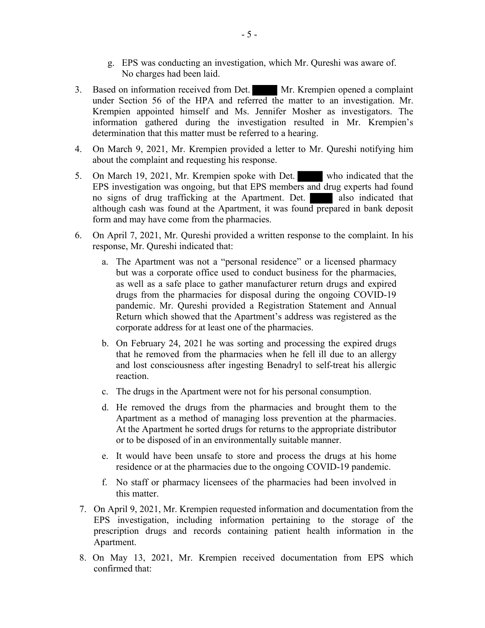- g. EPS was conducting an investigation, which Mr. Qureshi was aware of. No charges had been laid.
- 3. Based on information received from Det. Mr. Krempien opened a complaint under Section 56 of the HPA and referred the matter to an investigation. Mr. Krempien appointed himself and Ms. Jennifer Mosher as investigators. The information gathered during the investigation resulted in Mr. Krempien's determination that this matter must be referred to a hearing.
- 4. On March 9, 2021, Mr. Krempien provided a letter to Mr. Qureshi notifying him about the complaint and requesting his response.
- 5. On March 19, 2021, Mr. Krempien spoke with Det. who indicated that the EPS investigation was ongoing, but that EPS members and drug experts had found no signs of drug trafficking at the Apartment. Det. also indicated that although cash was found at the Apartment, it was found prepared in bank deposit form and may have come from the pharmacies.
- 6. On April 7, 2021, Mr. Qureshi provided a written response to the complaint. In his response, Mr. Qureshi indicated that:
	- a. The Apartment was not a "personal residence" or a licensed pharmacy but was a corporate office used to conduct business for the pharmacies, as well as a safe place to gather manufacturer return drugs and expired drugs from the pharmacies for disposal during the ongoing COVID-19 pandemic. Mr. Qureshi provided a Registration Statement and Annual Return which showed that the Apartment's address was registered as the corporate address for at least one of the pharmacies.
	- b. On February 24, 2021 he was sorting and processing the expired drugs that he removed from the pharmacies when he fell ill due to an allergy and lost consciousness after ingesting Benadryl to self-treat his allergic reaction.
	- c. The drugs in the Apartment were not for his personal consumption.
	- d. He removed the drugs from the pharmacies and brought them to the Apartment as a method of managing loss prevention at the pharmacies. At the Apartment he sorted drugs for returns to the appropriate distributor or to be disposed of in an environmentally suitable manner.
	- e. It would have been unsafe to store and process the drugs at his home residence or at the pharmacies due to the ongoing COVID-19 pandemic.
	- f. No staff or pharmacy licensees of the pharmacies had been involved in this matter.
- 7. On April 9, 2021, Mr. Krempien requested information and documentation from the EPS investigation, including information pertaining to the storage of the prescription drugs and records containing patient health information in the Apartment.
- 8. On May 13, 2021, Mr. Krempien received documentation from EPS which confirmed that: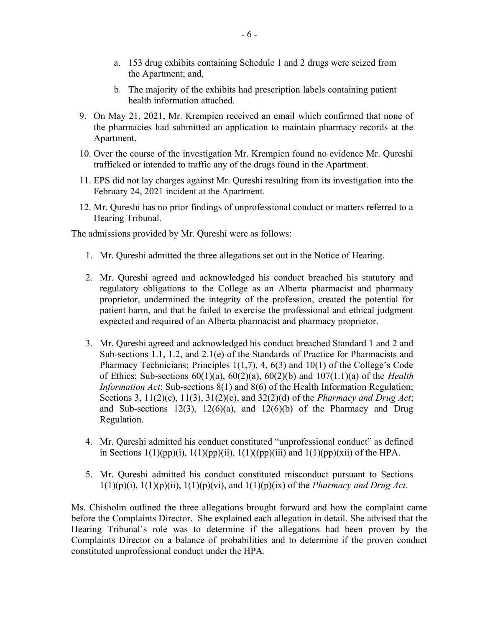- a. 153 drug exhibits containing Schedule 1 and 2 drugs were seized from the Apartment; and,
- b. The majority of the exhibits had prescription labels containing patient health information attached.
- 9. On May 21, 2021, Mr. Krempien received an email which confirmed that none of the pharmacies had submitted an application to maintain pharmacy records at the Apartment.
- 10. Over the course of the investigation Mr. Krempien found no evidence Mr. Qureshi trafficked or intended to traffic any of the drugs found in the Apartment.
- 11. EPS did not lay charges against Mr. Qureshi resulting from its investigation into the February 24, 2021 incident at the Apartment.
- 12. Mr. Qureshi has no prior findings of unprofessional conduct or matters referred to a Hearing Tribunal.

The admissions provided by Mr. Qureshi were as follows:

- 1. Mr. Qureshi admitted the three allegations set out in the Notice of Hearing.
- 2. Mr. Qureshi agreed and acknowledged his conduct breached his statutory and regulatory obligations to the College as an Alberta pharmacist and pharmacy proprietor, undermined the integrity of the profession, created the potential for patient harm, and that he failed to exercise the professional and ethical judgment expected and required of an Alberta pharmacist and pharmacy proprietor.
- 3. Mr. Qureshi agreed and acknowledged his conduct breached Standard 1 and 2 and Sub-sections 1.1, 1.2, and 2.1(e) of the Standards of Practice for Pharmacists and Pharmacy Technicians; Principles 1(1,7), 4, 6(3) and 10(1) of the College's Code of Ethics; Sub-sections  $60(1)(a)$ ,  $60(2)(a)$ ,  $60(2)(b)$  and  $107(1.1)(a)$  of the *Health* Information Act; Sub-sections 8(1) and 8(6) of the Health Information Regulation; Sections 3,  $11(2)(c)$ ,  $11(3)$ ,  $31(2)(c)$ , and  $32(2)(d)$  of the *Pharmacy and Drug Act*; and Sub-sections 12(3), 12(6)(a), and 12(6)(b) of the Pharmacy and Drug Regulation.
- 4. Mr. Qureshi admitted his conduct constituted "unprofessional conduct" as defined in Sections  $1(1)(pp)(i)$ ,  $1(1)(pp)(ii)$ ,  $1(1)((pp)(iii)$  and  $1(1)(pp)(xii)$  of the HPA.
- 5. Mr. Qureshi admitted his conduct constituted misconduct pursuant to Sections  $1(1)(p)(i)$ ,  $1(1)(p)(ii)$ ,  $1(1)(p)(vi)$ , and  $1(1)(p)(ix)$  of the *Pharmacy and Drug Act*.

Ms. Chisholm outlined the three allegations brought forward and how the complaint came before the Complaints Director. She explained each allegation in detail. She advised that the Hearing Tribunal's role was to determine if the allegations had been proven by the Complaints Director on a balance of probabilities and to determine if the proven conduct constituted unprofessional conduct under the HPA.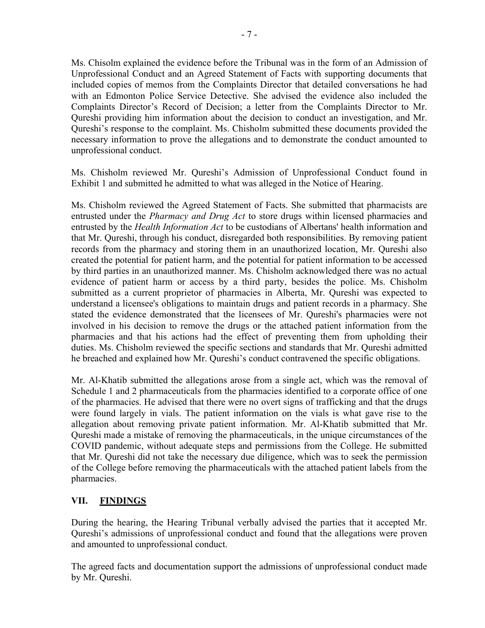Ms. Chisolm explained the evidence before the Tribunal was in the form of an Admission of Unprofessional Conduct and an Agreed Statement of Facts with supporting documents that included copies of memos from the Complaints Director that detailed conversations he had with an Edmonton Police Service Detective. She advised the evidence also included the Complaints Director's Record of Decision; a letter from the Complaints Director to Mr. Qureshi providing him information about the decision to conduct an investigation, and Mr. Qureshi's response to the complaint. Ms. Chisholm submitted these documents provided the necessary information to prove the allegations and to demonstrate the conduct amounted to unprofessional conduct.

Ms. Chisholm reviewed Mr. Qureshi's Admission of Unprofessional Conduct found in Exhibit 1 and submitted he admitted to what was alleged in the Notice of Hearing.

Ms. Chisholm reviewed the Agreed Statement of Facts. She submitted that pharmacists are entrusted under the *Pharmacy and Drug Act* to store drugs within licensed pharmacies and entrusted by the Health Information Act to be custodians of Albertans' health information and that Mr. Qureshi, through his conduct, disregarded both responsibilities. By removing patient records from the pharmacy and storing them in an unauthorized location, Mr. Qureshi also created the potential for patient harm, and the potential for patient information to be accessed by third parties in an unauthorized manner. Ms. Chisholm acknowledged there was no actual evidence of patient harm or access by a third party, besides the police. Ms. Chisholm submitted as a current proprietor of pharmacies in Alberta, Mr. Qureshi was expected to understand a licensee's obligations to maintain drugs and patient records in a pharmacy. She stated the evidence demonstrated that the licensees of Mr. Qureshi's pharmacies were not involved in his decision to remove the drugs or the attached patient information from the pharmacies and that his actions had the effect of preventing them from upholding their duties. Ms. Chisholm reviewed the specific sections and standards that Mr. Qureshi admitted he breached and explained how Mr. Qureshi's conduct contravened the specific obligations.

Mr. Al-Khatib submitted the allegations arose from a single act, which was the removal of Schedule 1 and 2 pharmaceuticals from the pharmacies identified to a corporate office of one of the pharmacies. He advised that there were no overt signs of trafficking and that the drugs were found largely in vials. The patient information on the vials is what gave rise to the allegation about removing private patient information. Mr. Al-Khatib submitted that Mr. Qureshi made a mistake of removing the pharmaceuticals, in the unique circumstances of the COVID pandemic, without adequate steps and permissions from the College. He submitted that Mr. Qureshi did not take the necessary due diligence, which was to seek the permission of the College before removing the pharmaceuticals with the attached patient labels from the pharmacies.

## VII. FINDINGS

During the hearing, the Hearing Tribunal verbally advised the parties that it accepted Mr. Qureshi's admissions of unprofessional conduct and found that the allegations were proven and amounted to unprofessional conduct.

The agreed facts and documentation support the admissions of unprofessional conduct made by Mr. Qureshi.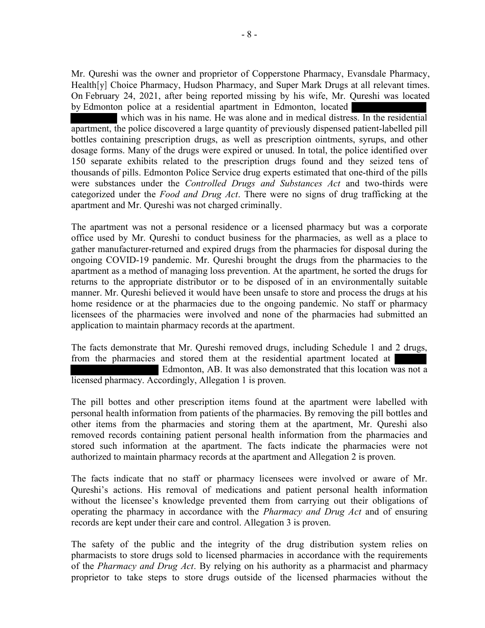Mr. Qureshi was the owner and proprietor of Copperstone Pharmacy, Evansdale Pharmacy, Health[y] Choice Pharmacy, Hudson Pharmacy, and Super Mark Drugs at all relevant times. On February 24, 2021, after being reported missing by his wife, Mr. Qureshi was located by Edmonton police at a residential apartment in Edmonton, located

which was in his name. He was alone and in medical distress. In the residential apartment, the police discovered a large quantity of previously dispensed patient-labelled pill bottles containing prescription drugs, as well as prescription ointments, syrups, and other dosage forms. Many of the drugs were expired or unused. In total, the police identified over 150 separate exhibits related to the prescription drugs found and they seized tens of thousands of pills. Edmonton Police Service drug experts estimated that one-third of the pills were substances under the Controlled Drugs and Substances Act and two-thirds were categorized under the *Food and Drug Act*. There were no signs of drug trafficking at the apartment and Mr. Qureshi was not charged criminally.

The apartment was not a personal residence or a licensed pharmacy but was a corporate office used by Mr. Qureshi to conduct business for the pharmacies, as well as a place to gather manufacturer-returned and expired drugs from the pharmacies for disposal during the ongoing COVID-19 pandemic. Mr. Qureshi brought the drugs from the pharmacies to the apartment as a method of managing loss prevention. At the apartment, he sorted the drugs for returns to the appropriate distributor or to be disposed of in an environmentally suitable manner. Mr. Qureshi believed it would have been unsafe to store and process the drugs at his home residence or at the pharmacies due to the ongoing pandemic. No staff or pharmacy licensees of the pharmacies were involved and none of the pharmacies had submitted an application to maintain pharmacy records at the apartment.

The facts demonstrate that Mr. Qureshi removed drugs, including Schedule 1 and 2 drugs, from the pharmacies and stored them at the residential apartment located at Edmonton, AB. It was also demonstrated that this location was not a licensed pharmacy. Accordingly, Allegation 1 is proven.

The pill bottes and other prescription items found at the apartment were labelled with personal health information from patients of the pharmacies. By removing the pill bottles and other items from the pharmacies and storing them at the apartment, Mr. Qureshi also removed records containing patient personal health information from the pharmacies and stored such information at the apartment. The facts indicate the pharmacies were not authorized to maintain pharmacy records at the apartment and Allegation 2 is proven.

The facts indicate that no staff or pharmacy licensees were involved or aware of Mr. Qureshi's actions. His removal of medications and patient personal health information without the licensee's knowledge prevented them from carrying out their obligations of operating the pharmacy in accordance with the Pharmacy and Drug Act and of ensuring records are kept under their care and control. Allegation 3 is proven.

The safety of the public and the integrity of the drug distribution system relies on pharmacists to store drugs sold to licensed pharmacies in accordance with the requirements of the *Pharmacy and Drug Act*. By relying on his authority as a pharmacist and pharmacy proprietor to take steps to store drugs outside of the licensed pharmacies without the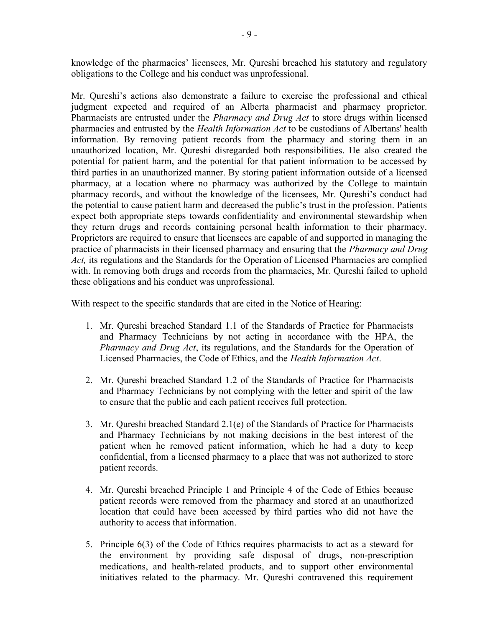knowledge of the pharmacies' licensees, Mr. Qureshi breached his statutory and regulatory obligations to the College and his conduct was unprofessional.

Mr. Qureshi's actions also demonstrate a failure to exercise the professional and ethical judgment expected and required of an Alberta pharmacist and pharmacy proprietor. Pharmacists are entrusted under the Pharmacy and Drug Act to store drugs within licensed pharmacies and entrusted by the *Health Information Act* to be custodians of Albertans' health information. By removing patient records from the pharmacy and storing them in an unauthorized location, Mr. Qureshi disregarded both responsibilities. He also created the potential for patient harm, and the potential for that patient information to be accessed by third parties in an unauthorized manner. By storing patient information outside of a licensed pharmacy, at a location where no pharmacy was authorized by the College to maintain pharmacy records, and without the knowledge of the licensees, Mr. Qureshi's conduct had the potential to cause patient harm and decreased the public's trust in the profession. Patients expect both appropriate steps towards confidentiality and environmental stewardship when they return drugs and records containing personal health information to their pharmacy. Proprietors are required to ensure that licensees are capable of and supported in managing the practice of pharmacists in their licensed pharmacy and ensuring that the Pharmacy and Drug Act, its regulations and the Standards for the Operation of Licensed Pharmacies are complied with. In removing both drugs and records from the pharmacies, Mr. Qureshi failed to uphold these obligations and his conduct was unprofessional.

With respect to the specific standards that are cited in the Notice of Hearing:

- 1. Mr. Qureshi breached Standard 1.1 of the Standards of Practice for Pharmacists and Pharmacy Technicians by not acting in accordance with the HPA, the Pharmacy and Drug Act, its regulations, and the Standards for the Operation of Licensed Pharmacies, the Code of Ethics, and the Health Information Act.
- 2. Mr. Qureshi breached Standard 1.2 of the Standards of Practice for Pharmacists and Pharmacy Technicians by not complying with the letter and spirit of the law to ensure that the public and each patient receives full protection.
- 3. Mr. Qureshi breached Standard 2.1(e) of the Standards of Practice for Pharmacists and Pharmacy Technicians by not making decisions in the best interest of the patient when he removed patient information, which he had a duty to keep confidential, from a licensed pharmacy to a place that was not authorized to store patient records.
- 4. Mr. Qureshi breached Principle 1 and Principle 4 of the Code of Ethics because patient records were removed from the pharmacy and stored at an unauthorized location that could have been accessed by third parties who did not have the authority to access that information.
- 5. Principle 6(3) of the Code of Ethics requires pharmacists to act as a steward for the environment by providing safe disposal of drugs, non-prescription medications, and health-related products, and to support other environmental initiatives related to the pharmacy. Mr. Qureshi contravened this requirement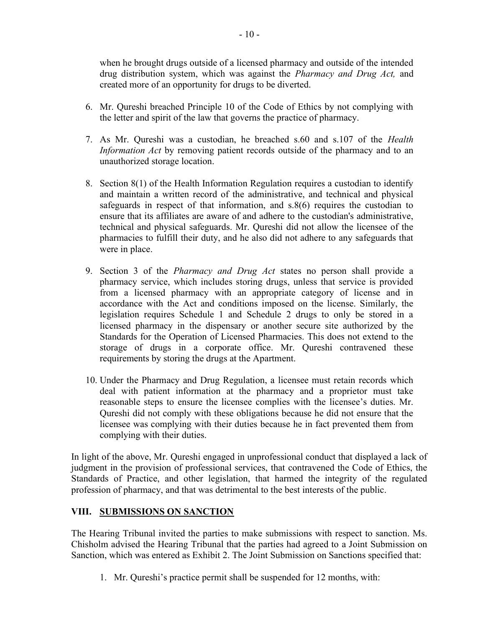when he brought drugs outside of a licensed pharmacy and outside of the intended drug distribution system, which was against the *Pharmacy and Drug Act*, and created more of an opportunity for drugs to be diverted.

- 6. Mr. Qureshi breached Principle 10 of the Code of Ethics by not complying with the letter and spirit of the law that governs the practice of pharmacy.
- 7. As Mr. Qureshi was a custodian, he breached s.60 and s.107 of the Health Information Act by removing patient records outside of the pharmacy and to an unauthorized storage location.
- 8. Section 8(1) of the Health Information Regulation requires a custodian to identify and maintain a written record of the administrative, and technical and physical safeguards in respect of that information, and s.8(6) requires the custodian to ensure that its affiliates are aware of and adhere to the custodian's administrative, technical and physical safeguards. Mr. Qureshi did not allow the licensee of the pharmacies to fulfill their duty, and he also did not adhere to any safeguards that were in place.
- 9. Section 3 of the *Pharmacy and Drug Act* states no person shall provide a pharmacy service, which includes storing drugs, unless that service is provided from a licensed pharmacy with an appropriate category of license and in accordance with the Act and conditions imposed on the license. Similarly, the legislation requires Schedule 1 and Schedule 2 drugs to only be stored in a licensed pharmacy in the dispensary or another secure site authorized by the Standards for the Operation of Licensed Pharmacies. This does not extend to the storage of drugs in a corporate office. Mr. Qureshi contravened these requirements by storing the drugs at the Apartment.
- 10. Under the Pharmacy and Drug Regulation, a licensee must retain records which deal with patient information at the pharmacy and a proprietor must take reasonable steps to ensure the licensee complies with the licensee's duties. Mr. Qureshi did not comply with these obligations because he did not ensure that the licensee was complying with their duties because he in fact prevented them from complying with their duties.

In light of the above, Mr. Qureshi engaged in unprofessional conduct that displayed a lack of judgment in the provision of professional services, that contravened the Code of Ethics, the Standards of Practice, and other legislation, that harmed the integrity of the regulated profession of pharmacy, and that was detrimental to the best interests of the public.

#### VIII. SUBMISSIONS ON SANCTION

The Hearing Tribunal invited the parties to make submissions with respect to sanction. Ms. Chisholm advised the Hearing Tribunal that the parties had agreed to a Joint Submission on Sanction, which was entered as Exhibit 2. The Joint Submission on Sanctions specified that:

1. Mr. Qureshi's practice permit shall be suspended for 12 months, with: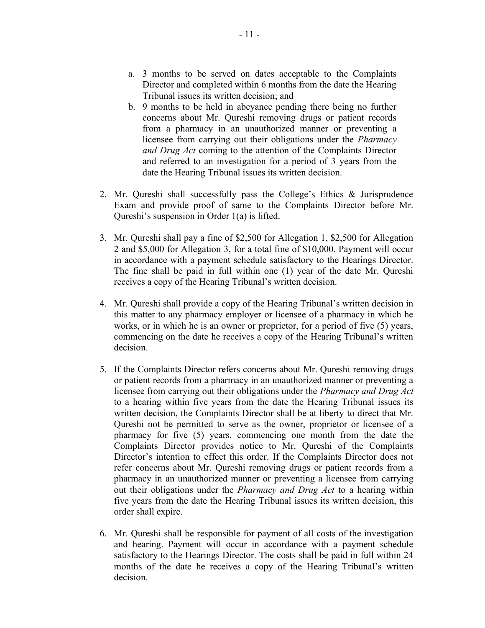- a. 3 months to be served on dates acceptable to the Complaints Director and completed within 6 months from the date the Hearing Tribunal issues its written decision; and
- b. 9 months to be held in abeyance pending there being no further concerns about Mr. Qureshi removing drugs or patient records from a pharmacy in an unauthorized manner or preventing a licensee from carrying out their obligations under the Pharmacy and Drug Act coming to the attention of the Complaints Director and referred to an investigation for a period of 3 years from the date the Hearing Tribunal issues its written decision.
- 2. Mr. Qureshi shall successfully pass the College's Ethics & Jurisprudence Exam and provide proof of same to the Complaints Director before Mr. Qureshi's suspension in Order 1(a) is lifted.
- 3. Mr. Qureshi shall pay a fine of \$2,500 for Allegation 1, \$2,500 for Allegation 2 and \$5,000 for Allegation 3, for a total fine of \$10,000. Payment will occur in accordance with a payment schedule satisfactory to the Hearings Director. The fine shall be paid in full within one (1) year of the date Mr. Qureshi receives a copy of the Hearing Tribunal's written decision.
- 4. Mr. Qureshi shall provide a copy of the Hearing Tribunal's written decision in this matter to any pharmacy employer or licensee of a pharmacy in which he works, or in which he is an owner or proprietor, for a period of five (5) years, commencing on the date he receives a copy of the Hearing Tribunal's written decision.
- 5. If the Complaints Director refers concerns about Mr. Qureshi removing drugs or patient records from a pharmacy in an unauthorized manner or preventing a licensee from carrying out their obligations under the Pharmacy and Drug Act to a hearing within five years from the date the Hearing Tribunal issues its written decision, the Complaints Director shall be at liberty to direct that Mr. Qureshi not be permitted to serve as the owner, proprietor or licensee of a pharmacy for five (5) years, commencing one month from the date the Complaints Director provides notice to Mr. Qureshi of the Complaints Director's intention to effect this order. If the Complaints Director does not refer concerns about Mr. Qureshi removing drugs or patient records from a pharmacy in an unauthorized manner or preventing a licensee from carrying out their obligations under the Pharmacy and Drug Act to a hearing within five years from the date the Hearing Tribunal issues its written decision, this order shall expire.
- 6. Mr. Qureshi shall be responsible for payment of all costs of the investigation and hearing. Payment will occur in accordance with a payment schedule satisfactory to the Hearings Director. The costs shall be paid in full within 24 months of the date he receives a copy of the Hearing Tribunal's written decision.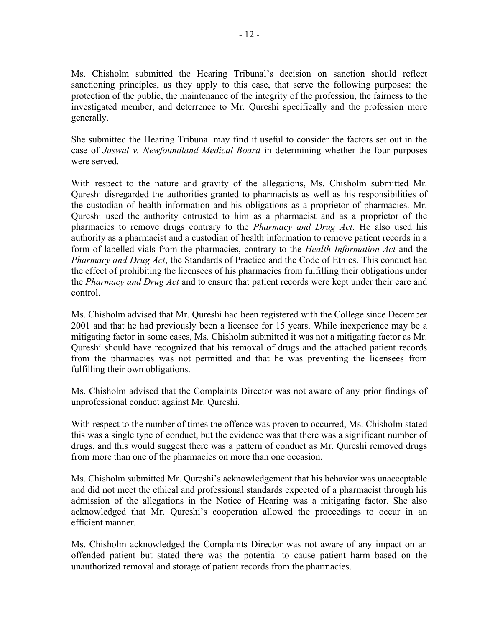Ms. Chisholm submitted the Hearing Tribunal's decision on sanction should reflect sanctioning principles, as they apply to this case, that serve the following purposes: the protection of the public, the maintenance of the integrity of the profession, the fairness to the investigated member, and deterrence to Mr. Qureshi specifically and the profession more generally.

She submitted the Hearing Tribunal may find it useful to consider the factors set out in the case of Jaswal v. Newfoundland Medical Board in determining whether the four purposes were served.

With respect to the nature and gravity of the allegations, Ms. Chisholm submitted Mr. Qureshi disregarded the authorities granted to pharmacists as well as his responsibilities of the custodian of health information and his obligations as a proprietor of pharmacies. Mr. Qureshi used the authority entrusted to him as a pharmacist and as a proprietor of the pharmacies to remove drugs contrary to the *Pharmacy and Drug Act*. He also used his authority as a pharmacist and a custodian of health information to remove patient records in a form of labelled vials from the pharmacies, contrary to the Health Information Act and the Pharmacy and Drug Act, the Standards of Practice and the Code of Ethics. This conduct had the effect of prohibiting the licensees of his pharmacies from fulfilling their obligations under the *Pharmacy and Drug Act* and to ensure that patient records were kept under their care and control.

Ms. Chisholm advised that Mr. Qureshi had been registered with the College since December 2001 and that he had previously been a licensee for 15 years. While inexperience may be a mitigating factor in some cases, Ms. Chisholm submitted it was not a mitigating factor as Mr. Qureshi should have recognized that his removal of drugs and the attached patient records from the pharmacies was not permitted and that he was preventing the licensees from fulfilling their own obligations.

Ms. Chisholm advised that the Complaints Director was not aware of any prior findings of unprofessional conduct against Mr. Qureshi.

With respect to the number of times the offence was proven to occurred, Ms. Chisholm stated this was a single type of conduct, but the evidence was that there was a significant number of drugs, and this would suggest there was a pattern of conduct as Mr. Qureshi removed drugs from more than one of the pharmacies on more than one occasion.

Ms. Chisholm submitted Mr. Qureshi's acknowledgement that his behavior was unacceptable and did not meet the ethical and professional standards expected of a pharmacist through his admission of the allegations in the Notice of Hearing was a mitigating factor. She also acknowledged that Mr. Qureshi's cooperation allowed the proceedings to occur in an efficient manner.

Ms. Chisholm acknowledged the Complaints Director was not aware of any impact on an offended patient but stated there was the potential to cause patient harm based on the unauthorized removal and storage of patient records from the pharmacies.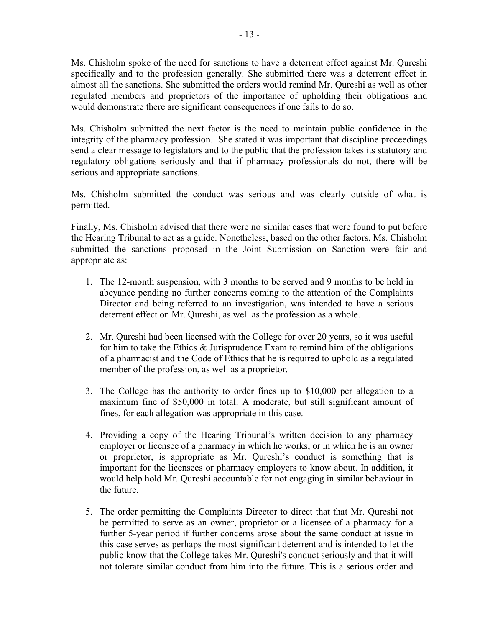Ms. Chisholm spoke of the need for sanctions to have a deterrent effect against Mr. Qureshi specifically and to the profession generally. She submitted there was a deterrent effect in almost all the sanctions. She submitted the orders would remind Mr. Qureshi as well as other regulated members and proprietors of the importance of upholding their obligations and would demonstrate there are significant consequences if one fails to do so.

Ms. Chisholm submitted the next factor is the need to maintain public confidence in the integrity of the pharmacy profession. She stated it was important that discipline proceedings send a clear message to legislators and to the public that the profession takes its statutory and regulatory obligations seriously and that if pharmacy professionals do not, there will be serious and appropriate sanctions.

Ms. Chisholm submitted the conduct was serious and was clearly outside of what is permitted.

Finally, Ms. Chisholm advised that there were no similar cases that were found to put before the Hearing Tribunal to act as a guide. Nonetheless, based on the other factors, Ms. Chisholm submitted the sanctions proposed in the Joint Submission on Sanction were fair and appropriate as:

- 1. The 12-month suspension, with 3 months to be served and 9 months to be held in abeyance pending no further concerns coming to the attention of the Complaints Director and being referred to an investigation, was intended to have a serious deterrent effect on Mr. Qureshi, as well as the profession as a whole.
- 2. Mr. Qureshi had been licensed with the College for over 20 years, so it was useful for him to take the Ethics & Jurisprudence Exam to remind him of the obligations of a pharmacist and the Code of Ethics that he is required to uphold as a regulated member of the profession, as well as a proprietor.
- 3. The College has the authority to order fines up to \$10,000 per allegation to a maximum fine of \$50,000 in total. A moderate, but still significant amount of fines, for each allegation was appropriate in this case.
- 4. Providing a copy of the Hearing Tribunal's written decision to any pharmacy employer or licensee of a pharmacy in which he works, or in which he is an owner or proprietor, is appropriate as Mr. Qureshi's conduct is something that is important for the licensees or pharmacy employers to know about. In addition, it would help hold Mr. Qureshi accountable for not engaging in similar behaviour in the future.
- 5. The order permitting the Complaints Director to direct that that Mr. Qureshi not be permitted to serve as an owner, proprietor or a licensee of a pharmacy for a further 5-year period if further concerns arose about the same conduct at issue in this case serves as perhaps the most significant deterrent and is intended to let the public know that the College takes Mr. Qureshi's conduct seriously and that it will not tolerate similar conduct from him into the future. This is a serious order and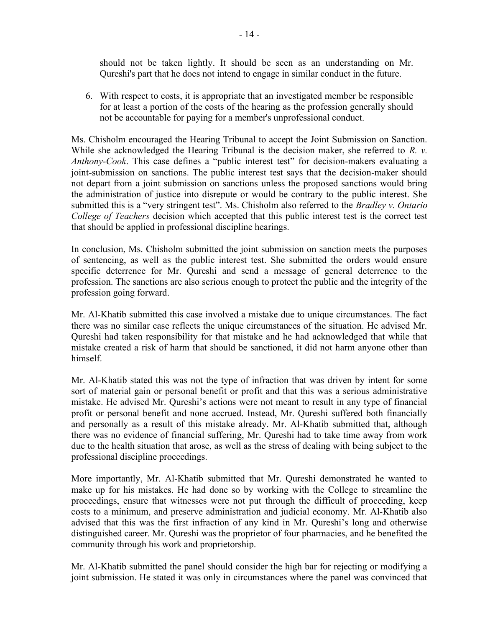should not be taken lightly. It should be seen as an understanding on Mr. Qureshi's part that he does not intend to engage in similar conduct in the future.

6. With respect to costs, it is appropriate that an investigated member be responsible for at least a portion of the costs of the hearing as the profession generally should not be accountable for paying for a member's unprofessional conduct.

Ms. Chisholm encouraged the Hearing Tribunal to accept the Joint Submission on Sanction. While she acknowledged the Hearing Tribunal is the decision maker, she referred to  $R$ .  $\nu$ . Anthony-Cook. This case defines a "public interest test" for decision-makers evaluating a joint-submission on sanctions. The public interest test says that the decision-maker should not depart from a joint submission on sanctions unless the proposed sanctions would bring the administration of justice into disrepute or would be contrary to the public interest. She submitted this is a "very stringent test". Ms. Chisholm also referred to the Bradley v. Ontario College of Teachers decision which accepted that this public interest test is the correct test that should be applied in professional discipline hearings.

In conclusion, Ms. Chisholm submitted the joint submission on sanction meets the purposes of sentencing, as well as the public interest test. She submitted the orders would ensure specific deterrence for Mr. Qureshi and send a message of general deterrence to the profession. The sanctions are also serious enough to protect the public and the integrity of the profession going forward.

Mr. Al-Khatib submitted this case involved a mistake due to unique circumstances. The fact there was no similar case reflects the unique circumstances of the situation. He advised Mr. Qureshi had taken responsibility for that mistake and he had acknowledged that while that mistake created a risk of harm that should be sanctioned, it did not harm anyone other than himself.

Mr. Al-Khatib stated this was not the type of infraction that was driven by intent for some sort of material gain or personal benefit or profit and that this was a serious administrative mistake. He advised Mr. Qureshi's actions were not meant to result in any type of financial profit or personal benefit and none accrued. Instead, Mr. Qureshi suffered both financially and personally as a result of this mistake already. Mr. Al-Khatib submitted that, although there was no evidence of financial suffering, Mr. Qureshi had to take time away from work due to the health situation that arose, as well as the stress of dealing with being subject to the professional discipline proceedings.

More importantly, Mr. Al-Khatib submitted that Mr. Qureshi demonstrated he wanted to make up for his mistakes. He had done so by working with the College to streamline the proceedings, ensure that witnesses were not put through the difficult of proceeding, keep costs to a minimum, and preserve administration and judicial economy. Mr. Al-Khatib also advised that this was the first infraction of any kind in Mr. Qureshi's long and otherwise distinguished career. Mr. Qureshi was the proprietor of four pharmacies, and he benefited the community through his work and proprietorship.

Mr. Al-Khatib submitted the panel should consider the high bar for rejecting or modifying a joint submission. He stated it was only in circumstances where the panel was convinced that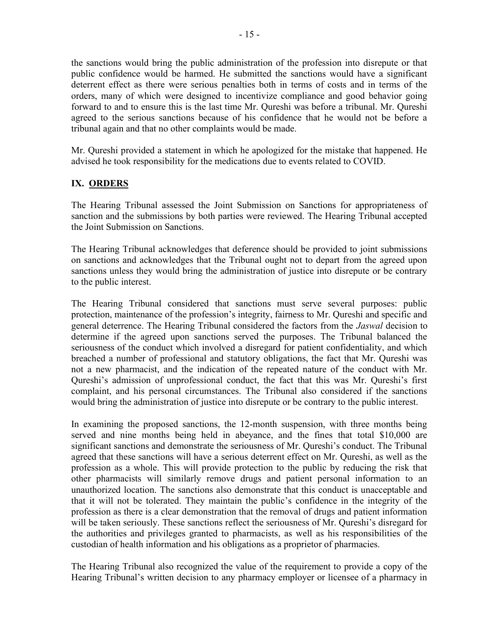the sanctions would bring the public administration of the profession into disrepute or that public confidence would be harmed. He submitted the sanctions would have a significant deterrent effect as there were serious penalties both in terms of costs and in terms of the orders, many of which were designed to incentivize compliance and good behavior going forward to and to ensure this is the last time Mr. Qureshi was before a tribunal. Mr. Qureshi agreed to the serious sanctions because of his confidence that he would not be before a tribunal again and that no other complaints would be made.

Mr. Qureshi provided a statement in which he apologized for the mistake that happened. He advised he took responsibility for the medications due to events related to COVID.

### IX. ORDERS

The Hearing Tribunal assessed the Joint Submission on Sanctions for appropriateness of sanction and the submissions by both parties were reviewed. The Hearing Tribunal accepted the Joint Submission on Sanctions.

The Hearing Tribunal acknowledges that deference should be provided to joint submissions on sanctions and acknowledges that the Tribunal ought not to depart from the agreed upon sanctions unless they would bring the administration of justice into disrepute or be contrary to the public interest.

The Hearing Tribunal considered that sanctions must serve several purposes: public protection, maintenance of the profession's integrity, fairness to Mr. Qureshi and specific and general deterrence. The Hearing Tribunal considered the factors from the Jaswal decision to determine if the agreed upon sanctions served the purposes. The Tribunal balanced the seriousness of the conduct which involved a disregard for patient confidentiality, and which breached a number of professional and statutory obligations, the fact that Mr. Qureshi was not a new pharmacist, and the indication of the repeated nature of the conduct with Mr. Qureshi's admission of unprofessional conduct, the fact that this was Mr. Qureshi's first complaint, and his personal circumstances. The Tribunal also considered if the sanctions would bring the administration of justice into disrepute or be contrary to the public interest.

In examining the proposed sanctions, the 12-month suspension, with three months being served and nine months being held in abeyance, and the fines that total \$10,000 are significant sanctions and demonstrate the seriousness of Mr. Qureshi's conduct. The Tribunal agreed that these sanctions will have a serious deterrent effect on Mr. Qureshi, as well as the profession as a whole. This will provide protection to the public by reducing the risk that other pharmacists will similarly remove drugs and patient personal information to an unauthorized location. The sanctions also demonstrate that this conduct is unacceptable and that it will not be tolerated. They maintain the public's confidence in the integrity of the profession as there is a clear demonstration that the removal of drugs and patient information will be taken seriously. These sanctions reflect the seriousness of Mr. Qureshi's disregard for the authorities and privileges granted to pharmacists, as well as his responsibilities of the custodian of health information and his obligations as a proprietor of pharmacies.

The Hearing Tribunal also recognized the value of the requirement to provide a copy of the Hearing Tribunal's written decision to any pharmacy employer or licensee of a pharmacy in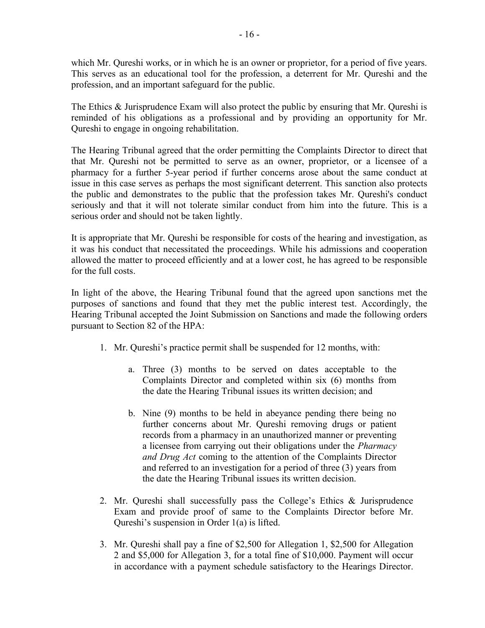which Mr. Qureshi works, or in which he is an owner or proprietor, for a period of five years. This serves as an educational tool for the profession, a deterrent for Mr. Qureshi and the profession, and an important safeguard for the public.

The Ethics & Jurisprudence Exam will also protect the public by ensuring that Mr. Qureshi is reminded of his obligations as a professional and by providing an opportunity for Mr. Qureshi to engage in ongoing rehabilitation.

The Hearing Tribunal agreed that the order permitting the Complaints Director to direct that that Mr. Qureshi not be permitted to serve as an owner, proprietor, or a licensee of a pharmacy for a further 5-year period if further concerns arose about the same conduct at issue in this case serves as perhaps the most significant deterrent. This sanction also protects the public and demonstrates to the public that the profession takes Mr. Qureshi's conduct seriously and that it will not tolerate similar conduct from him into the future. This is a serious order and should not be taken lightly.

It is appropriate that Mr. Qureshi be responsible for costs of the hearing and investigation, as it was his conduct that necessitated the proceedings. While his admissions and cooperation allowed the matter to proceed efficiently and at a lower cost, he has agreed to be responsible for the full costs.

In light of the above, the Hearing Tribunal found that the agreed upon sanctions met the purposes of sanctions and found that they met the public interest test. Accordingly, the Hearing Tribunal accepted the Joint Submission on Sanctions and made the following orders pursuant to Section 82 of the HPA:

- 1. Mr. Qureshi's practice permit shall be suspended for 12 months, with:
	- a. Three (3) months to be served on dates acceptable to the Complaints Director and completed within six (6) months from the date the Hearing Tribunal issues its written decision; and
	- b. Nine (9) months to be held in abeyance pending there being no further concerns about Mr. Qureshi removing drugs or patient records from a pharmacy in an unauthorized manner or preventing a licensee from carrying out their obligations under the Pharmacy and Drug Act coming to the attention of the Complaints Director and referred to an investigation for a period of three (3) years from the date the Hearing Tribunal issues its written decision.
- 2. Mr. Qureshi shall successfully pass the College's Ethics & Jurisprudence Exam and provide proof of same to the Complaints Director before Mr. Qureshi's suspension in Order 1(a) is lifted.
- 3. Mr. Qureshi shall pay a fine of \$2,500 for Allegation 1, \$2,500 for Allegation 2 and \$5,000 for Allegation 3, for a total fine of \$10,000. Payment will occur in accordance with a payment schedule satisfactory to the Hearings Director.